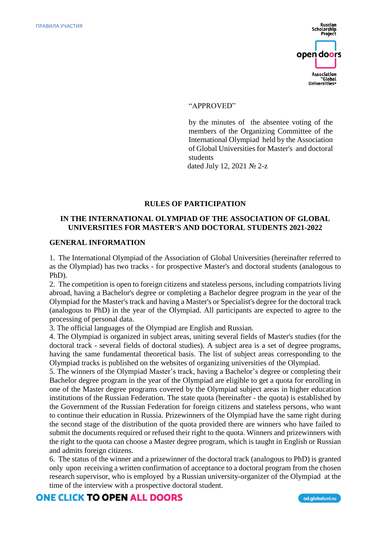

#### "APPROVED"

by the minutes of the absentee voting of the members of the Organizing Committee of the International Olympiad held by the Association of Global Universities for Master's and doctoral students

dated July 12, 2021 № 2-z

#### **RULES OF PARTICIPATION**

## **IN THE INTERNATIONAL OLYMPIAD OF THE ASSOCIATION OF GLOBAL UNIVERSITIES FOR MASTER'S AND DOCTORAL STUDENTS 2021-2022**

#### **GENERAL INFORMATION**

1. The International Olympiad of the Association of Global Universities (hereinafter referred to as the Olympiad) has two tracks - for prospective Master's and doctoral students (analogous to PhD).

2. The competition is open to foreign citizens and stateless persons, including compatriots living abroad, having a Bachelor's degree or completing a Bachelor degree program in the year of the Olympiad for the Master's track and having a Master's or Specialist's degree for the doctoral track (analogous to PhD) in the year of the Olympiad. All participants are expected to agree to the processing of personal data.

3. The official languages of the Olympiad are English and Russian.

4. The Olympiad is organized in subject areas, uniting several fields of Master's studies (for the doctoral track - several fields of doctoral studies). A subject area is a set of degree programs, having the same fundamental theoretical basis. The list of subject areas corresponding to the Olympiad tracks is published on the websites of organizing universities of the Olympiad.

5. The winners of the Olympiad Master's track, having a Bachelor's degree or completing their Bachelor degree program in the year of the Olympiad are eligible to get a quota for enrolling in one of the Master degree programs covered by the Olympiad subject areas in higher education institutions of the Russian Federation. The state quota (hereinafter - the quota) is established by the Government of the Russian Federation for foreign citizens and stateless persons, who want to continue their education in Russia. Prizewinners of the Olympiad have the same right during the second stage of the distribution of the quota provided there are winners who have failed to submit the documents required or refused their right to the quota. Winners and prizewinners with the right to the quota can choose a Master degree program, which is taught in English or Russian and admits foreign citizens.

6. The status of the winner and a prizewinner of the doctoral track (analogous to PhD) is granted only upon receiving a written confirmation of acceptance to a doctoral program from the chosen research supervisor, who is employed by a Russian university-organizer of the Olympiad at the time of the interview with a prospective doctoral student.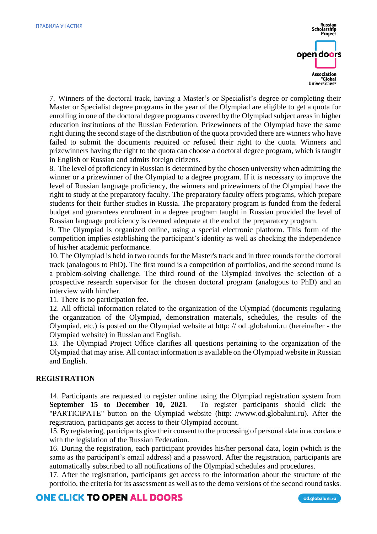

7. Winners of the doctoral track, having a Master's or Specialist's degree or completing their Master or Specialist degree programs in the year of the Olympiad are eligible to get a quota for enrolling in one of the doctoral degree programs covered by the Olympiad subject areas in higher education institutions of the Russian Federation. Prizewinners of the Olympiad have the same right during the second stage of the distribution of the quota provided there are winners who have failed to submit the documents required or refused their right to the quota. Winners and prizewinners having the right to the quota can choose a doctoral degree program, which is taught in English or Russian and admits foreign citizens.

8. The level of proficiency in Russian is determined by the chosen university when admitting the winner or a prizewinner of the Olympiad to a degree program. If it is necessary to improve the level of Russian language proficiency, the winners and prizewinners of the Olympiad have the right to study at the preparatory faculty. The preparatory faculty offers programs, which prepare students for their further studies in Russia. The preparatory program is funded from the federal budget and guarantees enrolment in a degree program taught in Russian provided the level of Russian language proficiency is deemed adequate at the end of the preparatory program.

9. The Olympiad is organized online, using a special electronic platform. This form of the competition implies establishing the participant's identity as well as checking the independence of his/her academic performance.

10. The Olympiad is held in two rounds for the Master's track and in three rounds for the doctoral track (analogous to PhD). The first round is a competition of portfolios, and the second round is a problem-solving challenge. The third round of the Olympiad involves the selection of a prospective research supervisor for the chosen doctoral program (analogous to PhD) and an interview with him/her.

11. There is no participation fee.

12. All official information related to the organization of the Olympiad (documents regulating the organization of the Olympiad, demonstration materials, schedules, the results of the Olympiad, etc.) is posted on the Olympiad website at http: // od .globaluni.ru (hereinafter - the Olympiad website) in Russian and English.

13. The Olympiad Project Office clarifies all questions pertaining to the organization of the Olympiad that may arise. All contact information is available on the Olympiad website in Russian and English.

## **REGISTRATION**

14. Participants are requested to register online using the Olympiad registration system from **September 15 to December 10, 2021**. To register participants should click the "PARTICIPATE" button on the Olympiad website (http: //www.od.globaluni.ru). After the registration, participants get access to their Olympiad account.

15. By registering, participants give their consent to the processing of personal data in accordance with the legislation of the Russian Federation.

16. During the registration, each participant provides his/her personal data, login (which is the same as the participant's email address) and a password. After the registration, participants are automatically subscribed to all notifications of the Olympiad schedules and procedures.

17. After the registration, participants get access to the information about the structure of the portfolio, the criteria for its assessment as well as to the demo versions of the second round tasks.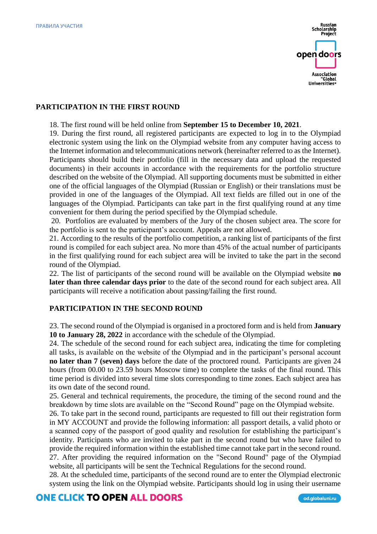

### **PARTICIPATION IN THE FIRST ROUND**

18. The first round will be held online from **September 15 to December 10, 2021**.

19. During the first round, all registered participants are expected to log in to the Olympiad electronic system using the link on the Olympiad website from any computer having access to the Internet information and telecommunications network (hereinafter referred to as the Internet). Participants should build their portfolio (fill in the necessary data and upload the requested documents) in their accounts in accordance with the requirements for the portfolio structure described on the website of the Olympiad. All supporting documents must be submitted in either one of the official languages of the Olympiad (Russian or English) or their translations must be provided in one of the languages of the Olympiad. All text fields are filled out in one of the languages of the Olympiad. Participants can take part in the first qualifying round at any time convenient for them during the period specified by the Olympiad schedule.

20. Portfolios are evaluated by members of the Jury of the chosen subject area. The score for the portfolio is sent to the participant's account. Appeals are not allowed.

21. According to the results of the portfolio competition, a ranking list of participants of the first round is compiled for each subject area. No more than 45% of the actual number of participants in the first qualifying round for each subject area will be invited to take the part in the second round of the Olympiad.

22. The list of participants of the second round will be available on the Olympiad website **no later than three calendar days prior** to the date of the second round for each subject area. All participants will receive a notification about passing/failing the first round.

### **PARTICIPATION IN THE SECOND ROUND**

23. The second round of the Olympiad is organised in a proctored form and is held from **January 10 to January 28, 2022** in accordance with the schedule of the Olympiad.

24. The schedule of the second round for each subject area, indicating the time for completing all tasks, is available on the website of the Olympiad and in the participant's personal account **no later than 7 (seven) days** before the date of the proctored round. Participants are given 24 hours (from 00.00 to 23.59 hours Moscow time) to complete the tasks of the final round. This time period is divided into several time slots corresponding to time zones. Each subject area has its own date of the second round.

25. General and technical requirements, the procedure, the timing of the second round and the breakdown by time slots are available on the "Second Round" page on the Olympiad website.

26. To take part in the second round, participants are requested to fill out their registration form in MY ACCOUNT and provide the following information: all passport details, a valid photo or a scanned copy of the passport of good quality and resolution for establishing the participant's identity. Participants who are invited to take part in the second round but who have failed to provide the required information within the established time cannot take part in the second round. 27. After providing the required information on the "Second Round" page of the Olympiad website, all participants will be sent the Technical Regulations for the second round.

28. At the scheduled time, participants of the second round are to enter the Olympiad electronic system using the link on the Olympiad website. Participants should log in using their username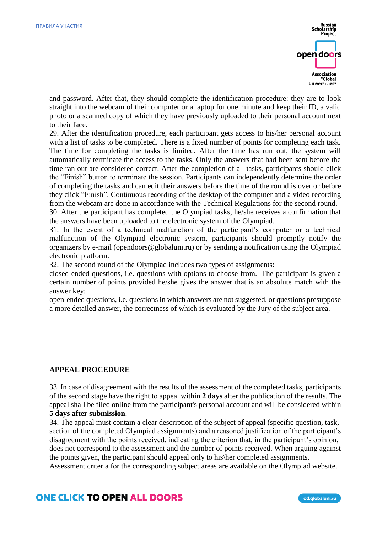

and password. After that, they should complete the identification procedure: they are to look straight into the webcam of their computer or a laptop for one minute and keep their ID, a valid photo or a scanned copy of which they have previously uploaded to their personal account next to their face.

29. After the identification procedure, each participant gets access to his/her personal account with a list of tasks to be completed. There is a fixed number of points for completing each task. The time for completing the tasks is limited. After the time has run out, the system will automatically terminate the access to the tasks. Only the answers that had been sent before the time ran out are considered correct. After the completion of all tasks, participants should click the "Finish" button to terminate the session. Participants can independently determine the order of completing the tasks and can edit their answers before the time of the round is over or before they click "Finish". Continuous recording of the desktop of the computer and a video recording from the webcam are done in accordance with the Technical Regulations for the second round.

30. After the participant has completed the Olympiad tasks, he/she receives a confirmation that the answers have been uploaded to the electronic system of the Olympiad.

31. In the event of a technical malfunction of the participant's computer or a technical malfunction of the Olympiad electronic system, participants should promptly notify the organizers by e-mail (opendoors@globaluni.ru) or by sending a notification using the Olympiad electronic platform.

32. The second round of the Olympiad includes two types of assignments:

closed-ended questions, i.e. questions with options to choose from. The participant is given a certain number of points provided he/she gives the answer that is an absolute match with the answer key;

open-ended questions, i.e. questions in which answers are not suggested, or questions presuppose a more detailed answer, the correctness of which is evaluated by the Jury of the subject area.

## **APPEAL PROCEDURE**

33. In case of disagreement with the results of the assessment of the completed tasks, participants of the second stage have the right to appeal within **2 days** after the publication of the results. The appeal shall be filed online from the participant's personal account and will be considered within **5 days after submission**.

34. The appeal must contain a clear description of the subject of appeal (specific question, task, section of the completed Olympiad assignments) and a reasoned justification of the participant's disagreement with the points received, indicating the criterion that, in the participant's opinion, does not correspond to the assessment and the number of points received. When arguing against the points given, the participant should appeal only to his\her completed assignments.

Assessment criteria for the corresponding subject areas are available on the Olympiad website.

# **ONE CLICK TO OPEN ALL DOORS**

od.globaluni.ru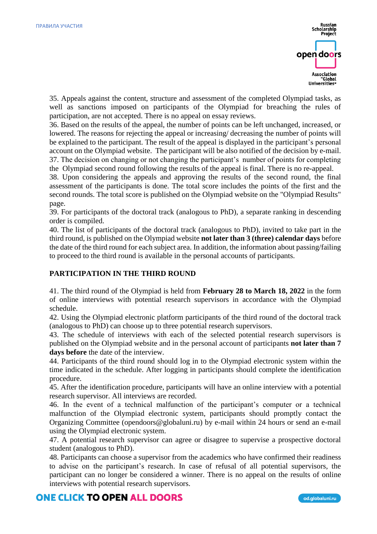

35. Appeals against the content, structure and assessment of the completed Olympiad tasks, as well as sanctions imposed on participants of the Olympiad for breaching the rules of participation, are not accepted. There is no appeal on essay reviews.

36. Based on the results of the appeal, the number of points can be left unchanged, increased, or lowered. The reasons for rejecting the appeal or increasing/ decreasing the number of points will be explained to the participant. The result of the appeal is displayed in the participant's personal account on the Olympiad website. The participant will be also notified of the decision by e-mail. 37. The decision on changing or not changing the participant's number of points for completing the Olympiad second round following the results of the appeal is final. There is no re-appeal.

38. Upon considering the appeals and approving the results of the second round, the final assessment of the participants is done. The total score includes the points of the first and the second rounds. The total score is published on the Olympiad website on the "Olympiad Results" page.

39. For participants of the doctoral track (analogous to PhD), a separate ranking in descending order is compiled.

40. The list of participants of the doctoral track (analogous to PhD), invited to take part in the third round, is published on the Olympiad website **not later than 3 (three) calendar days** before the date of the third round for each subject area. In addition, the information about passing/failing to proceed to the third round is available in the personal accounts of participants.

## **PARTICIPATION IN THE THIRD ROUND**

41. The third round of the Olympiad is held from **February 28 to March 18, 2022** in the form of online interviews with potential research supervisors in accordance with the Olympiad schedule.

42. Using the Olympiad electronic platform participants of the third round of the doctoral track (analogous to PhD) can choose up to three potential research supervisors.

43. The schedule of interviews with each of the selected potential research supervisors is published on the Olympiad website and in the personal account of participants **not later than 7 days before** the date of the interview.

44. Participants of the third round should log in to the Olympiad electronic system within the time indicated in the schedule. After logging in participants should complete the identification procedure.

45. After the identification procedure, participants will have an online interview with a potential research supervisor. All interviews are recorded.

46. In the event of a technical malfunction of the participant's computer or a technical malfunction of the Olympiad electronic system, participants should promptly contact the Organizing Committee (opendoors@globaluni.ru) by e-mail within 24 hours or send an e-mail using the Olympiad electronic system.

47. A potential research supervisor can agree or disagree to supervise a prospective doctoral student (analogous to PhD).

48. Participants can choose a supervisor from the academics who have confirmed their readiness to advise on the participant's research. In case of refusal of all potential supervisors, the participant can no longer be considered a winner. There is no appeal on the results of online interviews with potential research supervisors.